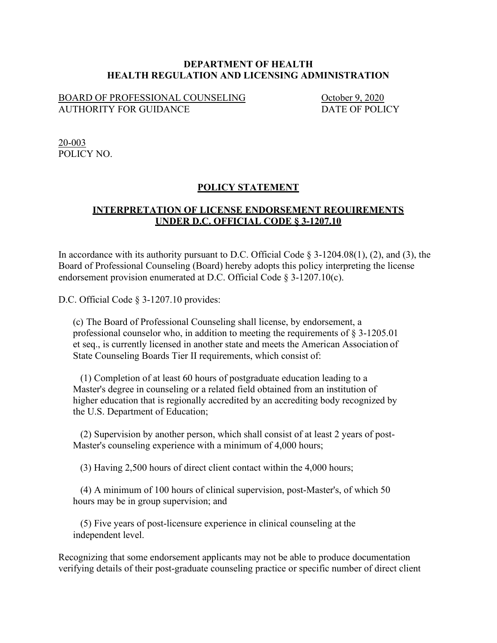## **DEPARTMENT OF HEALTH HEALTH REGULATION AND LICENSING ADMINISTRATION**

## BOARD OF PROFESSIONAL COUNSELING<br>AUTHORITY FOR GUIDANCE DATE OF POLICY AUTHORITY FOR GUIDANCE

20-003 POLICY NO.

## **POLICY STATEMENT**

## **INTERPRETATION OF LICENSE ENDORSEMENT REQUIREMENTS UNDER D.C. OFFICIAL CODE § 3-1207.10**

In accordance with its authority pursuant to D.C. Official Code  $\S$  3-1204.08(1), (2), and (3), the Board of Professional Counseling (Board) hereby adopts this policy interpreting the license endorsement provision enumerated at D.C. Official Code § 3-1207.10(c).

D.C. Official Code § 3-1207.10 provides:

(c) The Board of Professional Counseling shall license, by endorsement, a professional counselor who, in addition to meeting the requirements of § 3-1205.01 et seq., is currently licensed in another state and meets the American Association of State Counseling Boards Tier II requirements, which consist of:

(1) Completion of at least 60 hours of postgraduate education leading to a Master's degree in counseling or a related field obtained from an institution of higher education that is regionally accredited by an accrediting body recognized by the U.S. Department of Education;

(2) Supervision by another person, which shall consist of at least 2 years of post-Master's counseling experience with a minimum of 4,000 hours;

(3) Having 2,500 hours of direct client contact within the 4,000 hours;

(4) A minimum of 100 hours of clinical supervision, post-Master's, of which 50 hours may be in group supervision; and

(5) Five years of post-licensure experience in clinical counseling at the independent level.

Recognizing that some endorsement applicants may not be able to produce documentation verifying details of their post-graduate counseling practice or specific number of direct client